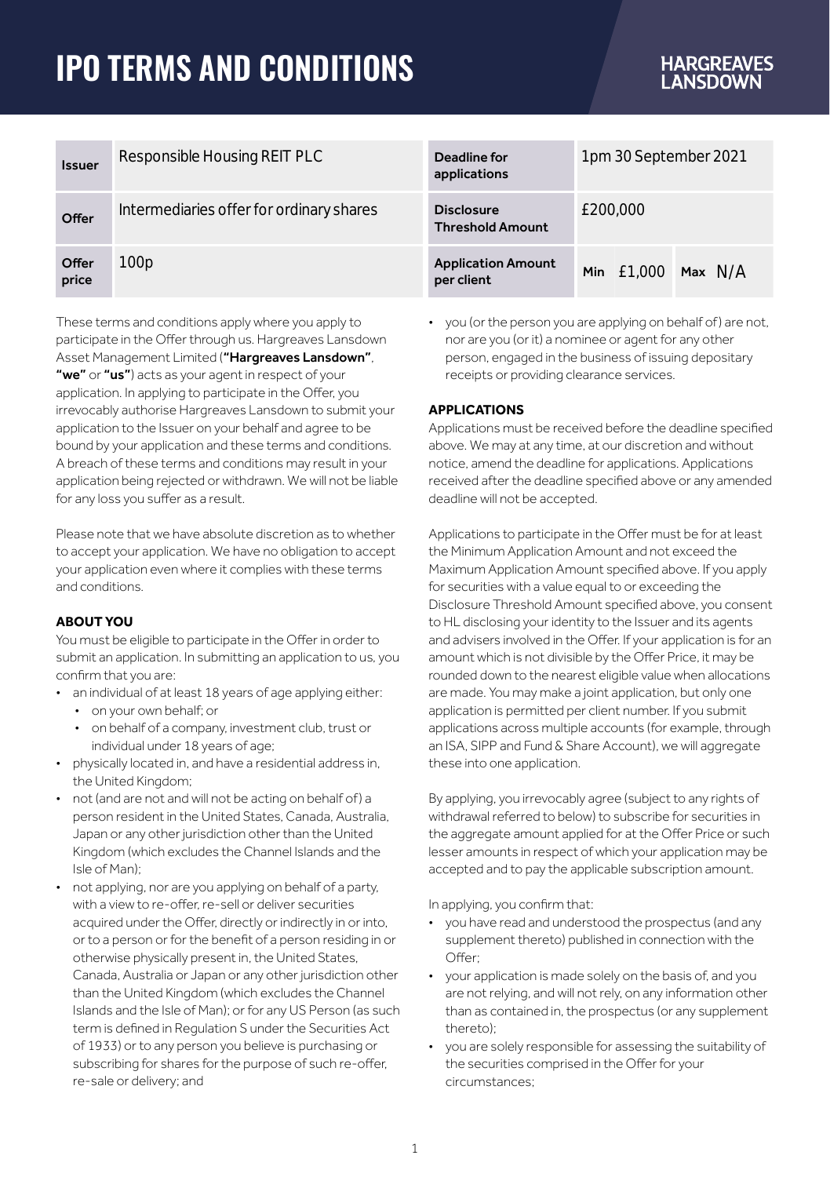# **IPO TERMS AND CONDITIONS**

# **HARGREAVES**<br>LANSDOWN

| <b>Issuer</b>  | Responsible Housing REIT PLC             | Deadline for<br>applications                 | 1pm 30 September 2021  |
|----------------|------------------------------------------|----------------------------------------------|------------------------|
| Offer          | Intermediaries offer for ordinary shares | <b>Disclosure</b><br><b>Threshold Amount</b> | £200,000               |
| Offer<br>price | 100p                                     | <b>Application Amount</b><br>per client      | Min $£1.000$ Max $N/A$ |

These terms and conditions apply where you apply to participate in the Offer through us. Hargreaves Lansdown Asset Management Limited ("Hargreaves Lansdown", "we" or "us") acts as your agent in respect of your application. In applying to participate in the Offer, you irrevocably authorise Hargreaves Lansdown to submit your application to the Issuer on your behalf and agree to be bound by your application and these terms and conditions. A breach of these terms and conditions may result in your application being rejected or withdrawn. We will not be liable for any loss you suffer as a result.

Please note that we have absolute discretion as to whether to accept your application. We have no obligation to accept your application even where it complies with these terms and conditions.

# **ABOUT YOU**

You must be eligible to participate in the Offer in order to submit an application. In submitting an application to us, you confirm that you are:

- an individual of at least 18 years of age applying either:
	- on your own behalf; or
	- on behalf of a company, investment club, trust or individual under 18 years of age:
- physically located in, and have a residential address in, the United Kingdom;
- not (and are not and will not be acting on behalf of) a person resident in the United States, Canada, Australia, Japan or any other jurisdiction other than the United Kingdom (which excludes the Channel Islands and the Isle of Man);
- not applying, nor are you applying on behalf of a party, with a view to re-offer, re-sell or deliver securities acquired under the Offer, directly or indirectly in or into, or to a person or for the benefit of a person residing in or otherwise physically present in, the United States, Canada, Australia or Japan or any other jurisdiction other than the United Kingdom (which excludes the Channel Islands and the Isle of Man); or for any US Person (as such term is defined in Regulation S under the Securities Act of 1933) or to any person you believe is purchasing or subscribing for shares for the purpose of such re-offer, re-sale or delivery; and

• you (or the person you are applying on behalf of) are not nor are you (or it) a nominee or agent for any other person, engaged in the business of issuing depositary receipts or providing clearance services.

# **APPLICATIONS**

Applications must be received before the deadline specified above. We may at any time, at our discretion and without notice, amend the deadline for applications. Applications received after the deadline specified above or any amended deadline will not be accepted.

Applications to participate in the Offer must be for at least the Minimum Application Amount and not exceed the Maximum Application Amount specified above. If you apply for securities with a value equal to or exceeding the Disclosure Threshold Amount specified above, you consent to HL disclosing your identity to the Issuer and its agents and advisers involved in the Offer. If your application is for an amount which is not divisible by the Offer Price, it may be rounded down to the nearest eligible value when allocations are made. You may make a joint application, but only one application is permitted per client number. If you submit applications across multiple accounts (for example, through an ISA, SIPP and Fund & Share Account), we will aggregate these into one application.

By applying, you irrevocably agree (subject to any rights of withdrawal referred to below) to subscribe for securities in the aggregate amount applied for at the Offer Price or such lesser amounts in respect of which your application may be accepted and to pay the applicable subscription amount.

In applying, you confirm that:

- you have read and understood the prospectus (and any supplement thereto) published in connection with the Offer:
- your application is made solely on the basis of, and you are not relying, and will not rely, on any information other than as contained in, the prospectus (or any supplement thereto);
- you are solely responsible for assessing the suitability of the securities comprised in the Offer for your circumstances;